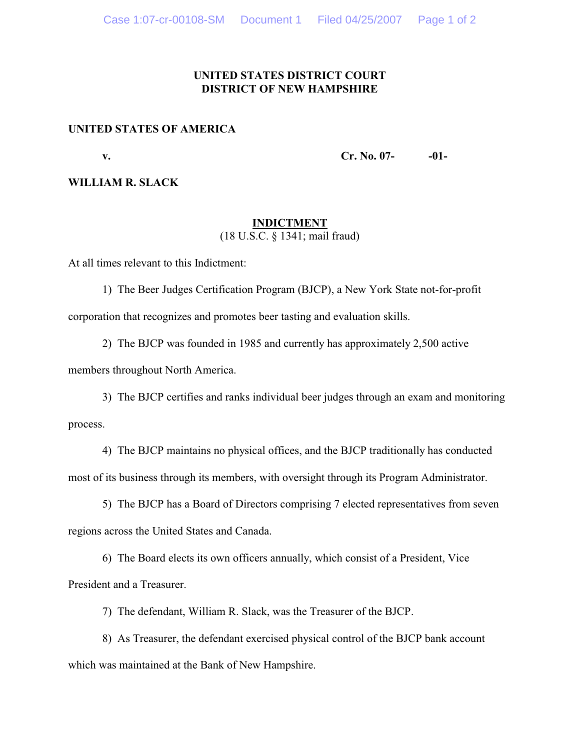# **UNITED STATES DISTRICT COURT DISTRICT OF NEW HAMPSHIRE**

### **UNITED STATES OF AMERICA**

**v. Cr. No. 07- -01-**

## **WILLIAM R. SLACK**

# **INDICTMENT** (18 U.S.C. § 1341; mail fraud)

At all times relevant to this Indictment:

- 1) The Beer Judges Certification Program (BJCP), a New York State not-for-profit corporation that recognizes and promotes beer tasting and evaluation skills.
- 2) The BJCP was founded in 1985 and currently has approximately 2,500 active members throughout North America.

3) The BJCP certifies and ranks individual beer judges through an exam and monitoring process.

4) The BJCP maintains no physical offices, and the BJCP traditionally has conducted most of its business through its members, with oversight through its Program Administrator.

5) The BJCP has a Board of Directors comprising 7 elected representatives from seven regions across the United States and Canada.

6) The Board elects its own officers annually, which consist of a President, Vice President and a Treasurer.

7) The defendant, William R. Slack, was the Treasurer of the BJCP.

8) As Treasurer, the defendant exercised physical control of the BJCP bank account which was maintained at the Bank of New Hampshire.